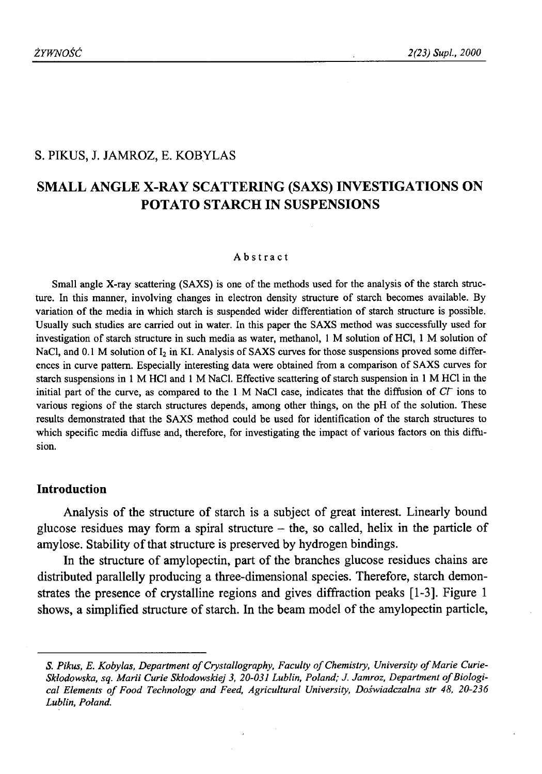# S. PIKUS, J. JAMROZ, E. KOBYLAS

# **SMALL ANGLE X-RAY SCATTERING (SAXS) INVESTIGATIONS ON POTATO STARCH IN SUSPENSIONS**

#### Abstract

Small angle X-ray scattering (SAXS) is one of the methods used for the analysis of the starch structure. In this manner, involving changes in electron density structure of starch becomes available. By variation of the media in which starch is suspended wider differentiation of starch structure is possible. Usually such studies are carried out in water. In this paper the SAXS method was successfully used for investigation of starch structure in such media as water, methanol, 1 M solution of HC1, 1 M solution of NaCl, and 0.1 M solution of I<sub>2</sub> in KI. Analysis of SAXS curves for those suspensions proved some differences in curve pattern. Especially interesting data were obtained from a comparison of SAXS curves for starch suspensions in 1 M HC1 and 1 M NaCl. Effective scattering of starch suspension in 1 M HC1 in the initial part of the curve, as compared to the 1 M NaCl case, indicates that the diffusion of *CV* ions to various regions of the starch structures depends, among other things, on the pH of the solution. These results demonstrated that the SAXS method could be used for identification of the starch structures to which specific media diffuse and, therefore, for investigating the impact of various factors on this diffusion.

## **Introduction**

Analysis of the structure of starch is a subject of great interest. Linearly bound glucose residues may form a spiral structure  $-$  the, so called, helix in the particle of amylose. Stability of that structure is preserved by hydrogen bindings.

In the structure of amylopectin, part of the branches glucose residues chains are distributed parallelly producing a three-dimensional species. Therefore, starch demonstrates the presence of crystalline regions and gives diffraction peaks [1-3]. Figure 1 shows, a simplified structure of starch. In the beam model of the amylopectin particle,

S. Pikus, E. Kobylas, Department of Crystallography, Faculty of Chemistry, University of Marie Curie-Skłodowska, sq. Marii Curie Skłodowskiej 3, 20-031 Lublin, Poland; J. Jamroz, Department of Biological Elements of Food Technology and Feed, Agricultural University, Doświadczalna str 48, 20-236 *Lublin, Poland.*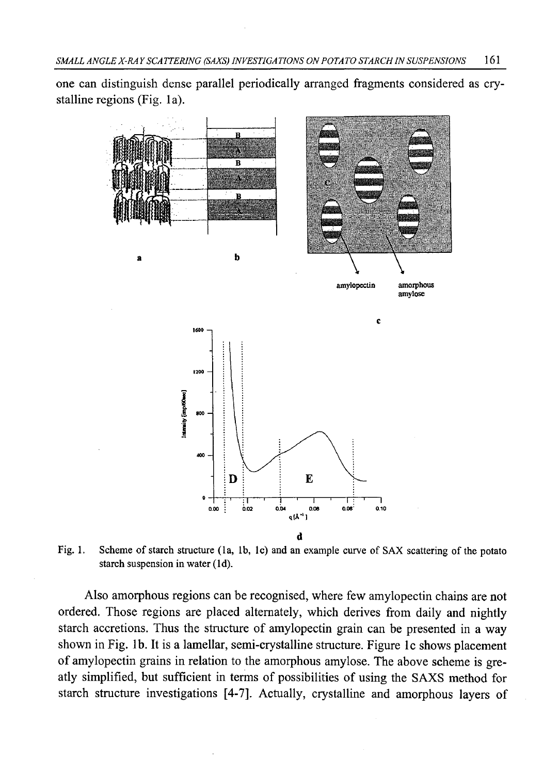one can distinguish dense parallel periodically arranged fragments considered as crystalline regions (Fig. la).



Fig. 1. Scheme of starch structure (la, lb, lc) and an example curve of SAX scattering of the potato starch suspension in water (Id).

Also amorphous regions can be recognised, where few amylopectin chains are not ordered. Those regions are placed alternately, which derives from daily and nightly starch accretions. Thus the structure of amylopectin grain can be presented in a way shown in Fig. lb. It is a lamellar, semi-crystalline structure. Figure lc shows placement of amylopectin grains in relation to the amorphous amylose. The above scheme is greatly simplified, but sufficient in terms of possibilities of using the SAXS method for starch structure investigations [4-7]. Actually, crystalline and amorphous layers of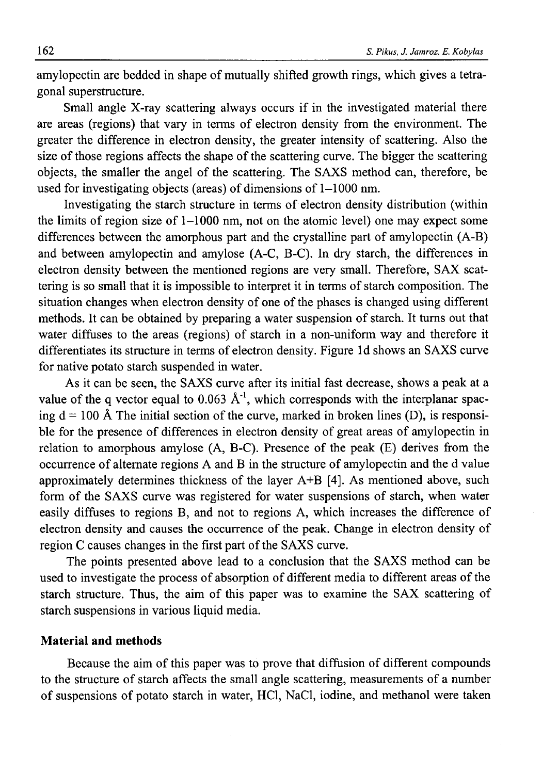amylopectin are bedded in shape of mutually shifted growth rings, which gives a tetragonal superstructure.

Small angle X-ray scattering always occurs if in the investigated material there are areas (regions) that vary in terms of electron density from the environment. The greater the difference in electron density, the greater intensity of scattering. Also the size of those regions affects the shape of the scattering curve. The bigger the scattering objects, the smaller the angel of the scattering. The SAXS method can, therefore, be used for investigating objects (areas) of dimensions of 1-1000 nm.

Investigating the starch structure in terms of electron density distribution (within the limits of region size of 1-1000 nm, not on the atomic level) one may expect some differences between the amorphous part and the crystalline part of amylopectin (A-B) and between amylopectin and amylose (A-C, B-C). In dry starch, the differences in electron density between the mentioned regions are very small. Therefore, SAX scattering is so small that it is impossible to interpret it in terms of starch composition. The situation changes when electron density of one of the phases is changed using different methods. It can be obtained by preparing a water suspension of starch. It turns out that water diffuses to the areas (regions) of starch in a non-uniform way and therefore it differentiates its structure in terms of electron density. Figure Id shows an SAXS curve for native potato starch suspended in water.

As it can be seen, the SAXS curve after its initial fast decrease, shows a peak at a value of the q vector equal to 0.063  $\AA^{-1}$ , which corresponds with the interplanar spacing  $d = 100$  Å The initial section of the curve, marked in broken lines (D), is responsible for the presence of differences in electron density of great areas of amylopectin in relation to amorphous amylose (A, B-C). Presence of the peak (E) derives from the occurrence of alternate regions A and B in the structure of amylopectin and the d value approximately determines thickness of the layer A+B [4]. As mentioned above, such form of the SAXS curve was registered for water suspensions of starch, when water easily diffuses to regions B, and not to regions A, which increases the difference of electron density and causes the occurrence of the peak. Change in electron density of region C causes changes in the first part of the SAXS curve.

The points presented above lead to a conclusion that the SAXS method can be used to investigate the process of absorption of different media to different areas of the starch structure. Thus, the aim of this paper was to examine the SAX scattering of starch suspensions in various liquid media.

# **Material and methods**

Because the aim of this paper was to prove that diffusion of different compounds to the structure of starch affects the small angle scattering, measurements of a number of suspensions of potato starch in water, HC1, NaCl, iodine, and methanol were taken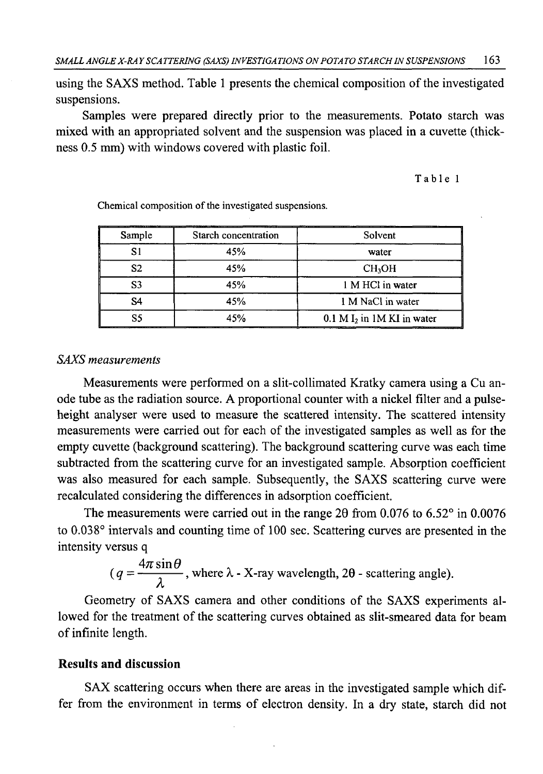using the SAXS method. Table 1 presents the chemical composition of the investigated suspensions.

Samples were prepared directly prior to the measurements. Potato starch was mixed with an appropriated solvent and the suspension was placed in a cuvette (thickness 0.5 mm) with windows covered with plastic foil.

#### Table 1

| Sample         | Starch concentration | Solvent                      |
|----------------|----------------------|------------------------------|
| S1             | 45%                  | water                        |
| S2             | 45%                  | <b>CH<sub>2</sub>OH</b>      |
| S <sub>3</sub> | 45%                  | 1 M HCl in water             |
| S4             | 45%                  | 1 M NaCl in water            |
| S5             | 45%                  | $0.1 M I2$ in 1M KI in water |

Chemical composition of the investigated suspensions.

## *SAXS measurements*

Measurements were performed on a slit-collimated Kratky camera using a Cu anode tube as the radiation source. A proportional counter with a nickel filter and a pulseheight analyser were used to measure the scattered intensity. The scattered intensity measurements were carried out for each of the investigated samples as well as for the empty cuvette (background scattering). The background scattering curve was each time subtracted from the scattering curve for an investigated sample. Absorption coefficient was also measured for each sample. Subsequently, the SAXS scattering curve were recalculated considering the differences in adsorption coefficient.

The measurements were carried out in the range 20 from 0.076 to 6.52° in 0.0076 to 0.038° intervals and counting time of 100 sec. Scattering curves are presented in the intensity versus q

$$
(q = \frac{4\pi \sin \theta}{\lambda}
$$
, where  $\lambda$  - X-ray wavelength, 2 $\theta$  - scattering angle).

Geometry of SAXS camera and other conditions of the SAXS experiments allowed for the treatment of the scattering curves obtained as slit-smeared data for beam of infinite length.

## **Results and discussion**

SAX scattering occurs when there are areas in the investigated sample which differ from the environment in terms of electron density. In a dry state, starch did not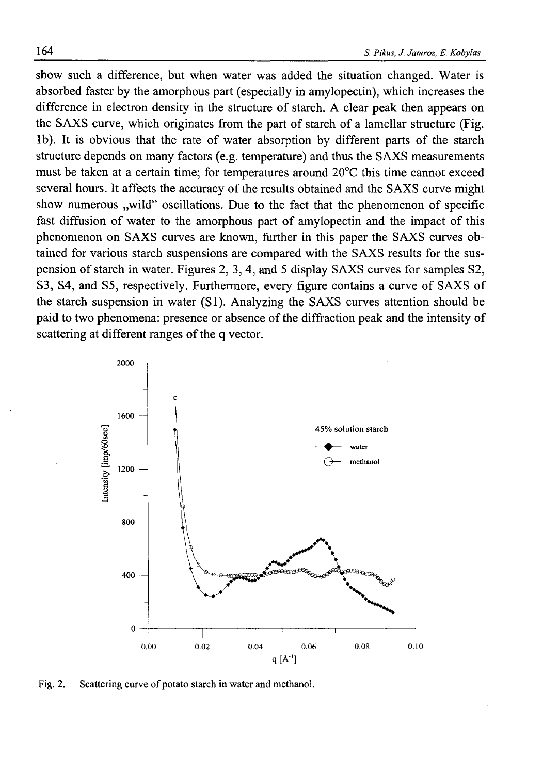show such a difference, but when water was added the situation changed. Water is absorbed faster by the amorphous part (especially in amylopectin), which increases the difference in electron density in the structure of starch. A clear peak then appears on the SAXS curve, which originates from the part of starch of a lamellar structure (Fig. lb). It is obvious that the rate of water absorption by different parts of the starch structure depends on many factors (e.g. temperature) and thus the SAXS measurements must be taken at a certain time; for temperatures around 20°C this time cannot exceed several hours. It affects the accuracy of the results obtained and the SAXS curve might show numerous ..wild" oscillations. Due to the fact that the phenomenon of specific fast diffusion of water to the amorphous part of amylopectin and the impact of this phenomenon on SAXS curves are known, further in this paper the SAXS curves obtained for various starch suspensions are compared with the SAXS results for the suspension of starch in water. Figures 2, 3, 4, and 5 display SAXS curves for samples S2, S3, S4, and S5, respectively. Furthermore, every figure contains a curve of SAXS of the starch suspension in water (SI). Analyzing the SAXS curves attention should be paid to two phenomena: presence or absence of the diffraction peak and the intensity of scattering at different ranges of the q vector.



Fig. 2. Scattering curve of potato starch in water and methanol.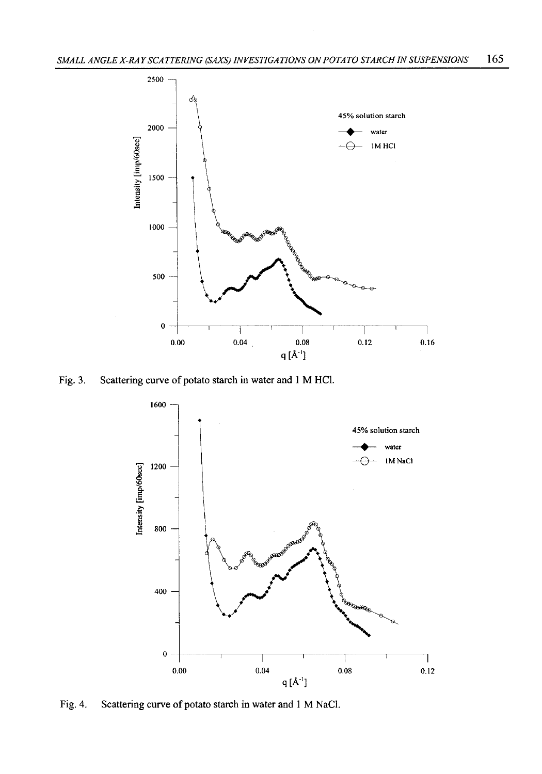

Fig. 3. Scattering curve of potato starch in water and 1 M HC1.



Fig. 4. Scattering curve of potato starch in water and 1 M NaCl.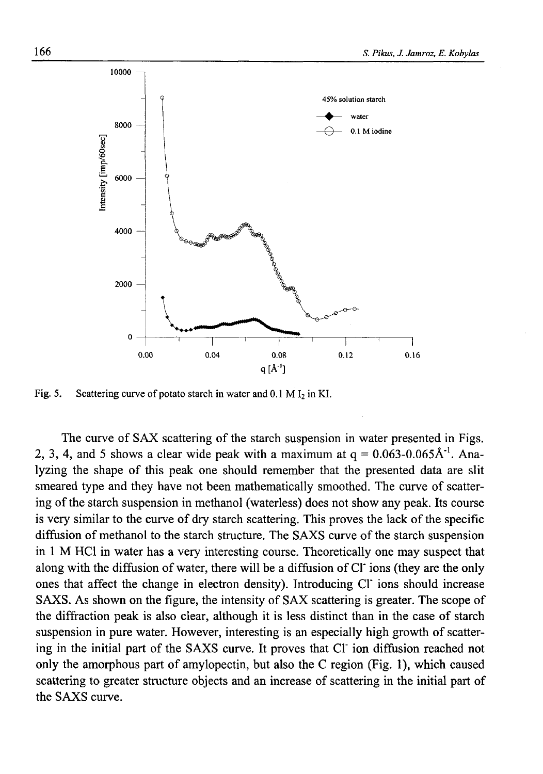

Fig. 5. Scattering curve of potato starch in water and  $0.1 M I_2$  in KI.

The curve of SAX scattering of the starch suspension in water presented in Figs. 2, 3, 4, and 5 shows a clear wide peak with a maximum at  $q = 0.063{\text -}0.065\text{\AA}^1$ . Analyzing the shape of this peak one should remember that the presented data are slit smeared type and they have not been mathematically smoothed. The curve of scattering of the starch suspension in methanol (waterless) does not show any peak. Its course is very similar to the curve of dry starch scattering. This proves the lack of the specific diffusion of methanol to the starch structure. The SAXS curve of the starch suspension in 1 M HC1 in water has a very interesting course. Theoretically one may suspect that along with the diffusion of water, there will be a diffusion of Cl' ions (they are the only ones that affect the change in electron density). Introducing Cl' ions should increase SAXS. As shown on the figure, the intensity of SAX scattering is greater. The scope of the diffraction peak is also clear, although it is less distinct than in the case of starch suspension in pure water. However, interesting is an especially high growth of scattering in the initial part of the SAXS curve. It proves that Cl' ion diffusion reached not only the amorphous part of amylopectin, but also the C region (Fig. 1), which caused scattering to greater structure objects and an increase of scattering in the initial part of the SAXS curve.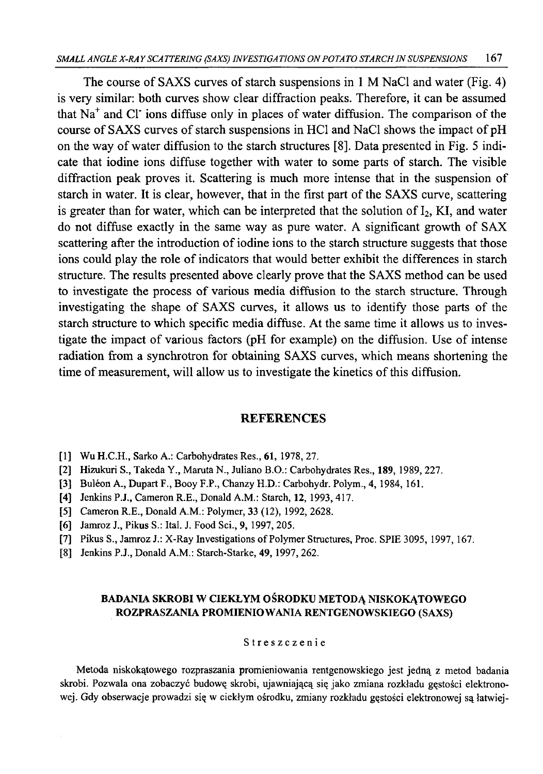The course of SAXS curves of starch suspensions in 1 M NaCl and water (Fig. 4) is very similar: both curves show clear diffraction peaks. Therefore, it can be assumed that  $Na<sup>+</sup>$  and Cl ions diffuse only in places of water diffusion. The comparison of the course of SAXS curves of starch suspensions in HCl and NaCl shows the impact of pH on the way of water diffusion to the starch structures [8]. Data presented in Fig. 5 indicate that iodine ions diffuse together with water to some parts of starch. The visible diffraction peak proves it. Scattering is much more intense that in the suspension of starch in water. It is clear, however, that in the first part of the SAXS curve, scattering is greater than for water, which can be interpreted that the solution of  $I_2$ , KI, and water do not diffuse exactly in the same way as pure water. A significant growth of SAX scattering after the introduction of iodine ions to the starch structure suggests that those ions could play the role of indicators that would better exhibit the differences in starch structure. The results presented above clearly prove that the SAXS method can be used to investigate the process of various media diffusion to the starch structure. Through investigating the shape of SAXS curves, it allows us to identify those parts of the starch structure to which specific media diffuse. At the same time it allows us to investigate the impact of various factors (pH for example) on the diffusion. Use of intense radiation from a synchrotron for obtaining SAXS curves, which means shortening the time of measurement, will allow us to investigate the kinetics of this diffusion.

#### **REFERENCES**

- [1] Wu H.C.H., Sarko A.: Carbohydrates Res., 61, 1978, 27.
- [2] Hizukuri S., Takeda Y., Maruta N., Juliano B.O.: Carbohydrates Res., 189,1989, 227.
- [3] Buléon A., Dupart F., Booy F.P., Chanzy H.D.: Carbohydr. Polym., 4, 1984, 161.
- [4] Jenkins P.J., Cameron R.E., Donald A.M.: Starch, 12, 1993,417.
- [5] Cameron R.E., Donald A.M.: Polymer, 33 (12), 1992, 2628.
- [6] Jamroz J., Pikus S.: Ital. J. Food Sci., 9,1997,205.
- [7] Pikus S., Jamroz J.: X-Ray Investigations of Polymer Structures, Proc. SPIE 3095, 1997,167.
- [8] Jenkins P.J., Donald A.M.: Starch-Starke, 49,1997, 262.

## BADANIA SKROBI W CIEKŁYM OŚRODKU METODĄ NISKOKĄTOWEGO ROZPRASZANIA PROMIENIOWANIA RENTGENOWSKIEGO (SAXS)

#### Streszczenie

Metoda niskokątowego rozpraszania promieniowania rentgenowskiego jest jedną z metod badania skrobi. Pozwala ona zobaczyć budowę skrobi, ujawniającą się jako zmiana rozkładu gęstości elektronowej. Gdy obserwacje prowadzi się w ciekłym ośrodku, zmiany rozkładu gęstości elektronowej są łatwiej